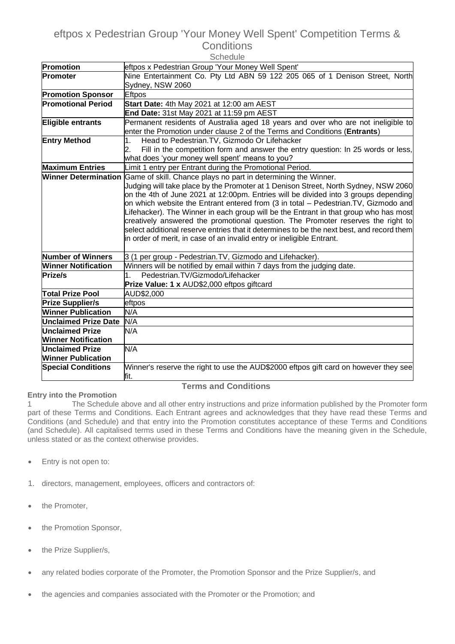# eftpos x Pedestrian Group 'Your Money Well Spent' Competition Terms & **Conditions**

| Schedule                    |                                                                                                                                                                            |
|-----------------------------|----------------------------------------------------------------------------------------------------------------------------------------------------------------------------|
| Promotion                   | eftpos x Pedestrian Group 'Your Money Well Spent'                                                                                                                          |
| <b>Promoter</b>             | Nine Entertainment Co. Pty Ltd ABN 59 122 205 065 of 1 Denison Street, North                                                                                               |
|                             | Sydney, NSW 2060                                                                                                                                                           |
| <b>Promotion Sponsor</b>    | <b>Eftpos</b>                                                                                                                                                              |
| <b>Promotional Period</b>   | Start Date: 4th May 2021 at 12:00 am AEST                                                                                                                                  |
|                             | End Date: 31st May 2021 at 11:59 pm AEST                                                                                                                                   |
| Eligible entrants           | Permanent residents of Australia aged 18 years and over who are not ineligible to                                                                                          |
|                             | enter the Promotion under clause 2 of the Terms and Conditions (Entrants)                                                                                                  |
| <b>Entry Method</b>         | Head to Pedestrian. TV, Gizmodo Or Lifehacker                                                                                                                              |
|                             | Fill in the competition form and answer the entry question: In 25 words or less,<br>2.                                                                                     |
|                             | what does 'your money well spent' means to you?                                                                                                                            |
| <b>Maximum Entries</b>      | Limit 1 entry per Entrant during the Promotional Period.                                                                                                                   |
| <b>Winner Determination</b> | Game of skill. Chance plays no part in determining the Winner.                                                                                                             |
|                             | Judging will take place by the Promoter at 1 Denison Street, North Sydney, NSW 2060                                                                                        |
|                             | on the 4th of June 2021 at 12:00pm. Entries will be divided into 3 groups depending                                                                                        |
|                             | on which website the Entrant entered from (3 in total - Pedestrian.TV, Gizmodo and<br>Lifehacker). The Winner in each group will be the Entrant in that group who has most |
|                             | creatively answered the promotional question. The Promoter reserves the right to                                                                                           |
|                             | select additional reserve entries that it determines to be the next best, and record them                                                                                  |
|                             | in order of merit, in case of an invalid entry or ineligible Entrant.                                                                                                      |
|                             |                                                                                                                                                                            |
| <b>Number of Winners</b>    | 3 (1 per group - Pedestrian. TV, Gizmodo and Lifehacker).                                                                                                                  |
| <b>Winner Notification</b>  | Winners will be notified by email within 7 days from the judging date.                                                                                                     |
| Prize/s                     | Pedestrian.TV/Gizmodo/Lifehacker                                                                                                                                           |
|                             | Prize Value: 1 x AUD\$2,000 eftpos giftcard                                                                                                                                |
| <b>Total Prize Pool</b>     | AUD\$2,000                                                                                                                                                                 |
| <b>Prize Supplier/s</b>     | eftpos                                                                                                                                                                     |
| <b>Winner Publication</b>   | N/A                                                                                                                                                                        |
| <b>Unclaimed Prize Date</b> | N/A                                                                                                                                                                        |
| <b>Unclaimed Prize</b>      | N/A                                                                                                                                                                        |
| <b>Winner Notification</b>  |                                                                                                                                                                            |
| <b>Unclaimed Prize</b>      | N/A                                                                                                                                                                        |
| <b>Winner Publication</b>   |                                                                                                                                                                            |
| <b>Special Conditions</b>   | Winner's reserve the right to use the AUD\$2000 eftpos gift card on however they see                                                                                       |
|                             | fit.                                                                                                                                                                       |

# **Terms and Conditions**

**Entry into the Promotion** 1 The Schedule above and all other entry instructions and prize information published by the Promoter form part of these Terms and Conditions. Each Entrant agrees and acknowledges that they have read these Terms and Conditions (and Schedule) and that entry into the Promotion constitutes acceptance of these Terms and Conditions (and Schedule). All capitalised terms used in these Terms and Conditions have the meaning given in the Schedule, unless stated or as the context otherwise provides.

- Entry is not open to:
- 1. directors, management, employees, officers and contractors of:
- the Promoter,
- the Promotion Sponsor,
- the Prize Supplier/s,
- any related bodies corporate of the Promoter, the Promotion Sponsor and the Prize Supplier/s, and
- the agencies and companies associated with the Promoter or the Promotion; and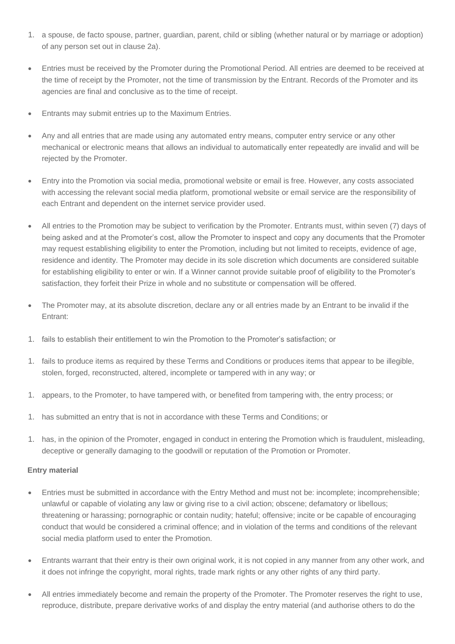- 1. a spouse, de facto spouse, partner, guardian, parent, child or sibling (whether natural or by marriage or adoption) of any person set out in clause 2a).
- Entries must be received by the Promoter during the Promotional Period. All entries are deemed to be received at the time of receipt by the Promoter, not the time of transmission by the Entrant. Records of the Promoter and its agencies are final and conclusive as to the time of receipt.
- Entrants may submit entries up to the Maximum Entries.
- Any and all entries that are made using any automated entry means, computer entry service or any other mechanical or electronic means that allows an individual to automatically enter repeatedly are invalid and will be rejected by the Promoter.
- Entry into the Promotion via social media, promotional website or email is free. However, any costs associated with accessing the relevant social media platform, promotional website or email service are the responsibility of each Entrant and dependent on the internet service provider used.
- All entries to the Promotion may be subject to verification by the Promoter. Entrants must, within seven (7) days of being asked and at the Promoter's cost, allow the Promoter to inspect and copy any documents that the Promoter may request establishing eligibility to enter the Promotion, including but not limited to receipts, evidence of age, residence and identity. The Promoter may decide in its sole discretion which documents are considered suitable for establishing eligibility to enter or win. If a Winner cannot provide suitable proof of eligibility to the Promoter's satisfaction, they forfeit their Prize in whole and no substitute or compensation will be offered.
- The Promoter may, at its absolute discretion, declare any or all entries made by an Entrant to be invalid if the Entrant:
- 1. fails to establish their entitlement to win the Promotion to the Promoter's satisfaction; or
- 1. fails to produce items as required by these Terms and Conditions or produces items that appear to be illegible, stolen, forged, reconstructed, altered, incomplete or tampered with in any way; or
- 1. appears, to the Promoter, to have tampered with, or benefited from tampering with, the entry process; or
- 1. has submitted an entry that is not in accordance with these Terms and Conditions; or
- 1. has, in the opinion of the Promoter, engaged in conduct in entering the Promotion which is fraudulent, misleading, deceptive or generally damaging to the goodwill or reputation of the Promotion or Promoter.

#### **Entry material**

- Entries must be submitted in accordance with the Entry Method and must not be: incomplete; incomprehensible; unlawful or capable of violating any law or giving rise to a civil action; obscene; defamatory or libellous; threatening or harassing; pornographic or contain nudity; hateful; offensive; incite or be capable of encouraging conduct that would be considered a criminal offence; and in violation of the terms and conditions of the relevant social media platform used to enter the Promotion.
- Entrants warrant that their entry is their own original work, it is not copied in any manner from any other work, and it does not infringe the copyright, moral rights, trade mark rights or any other rights of any third party.
- All entries immediately become and remain the property of the Promoter. The Promoter reserves the right to use, reproduce, distribute, prepare derivative works of and display the entry material (and authorise others to do the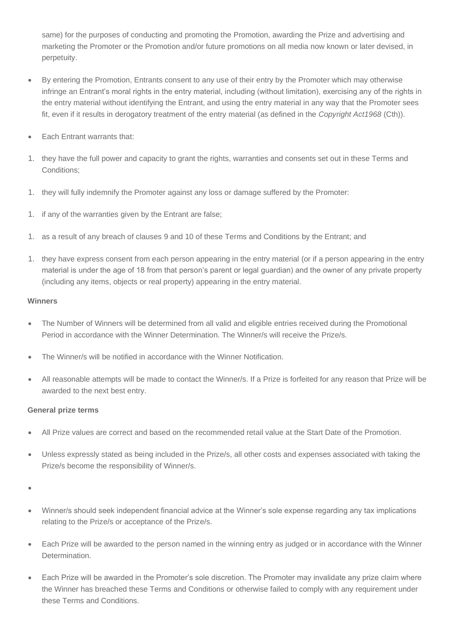same) for the purposes of conducting and promoting the Promotion, awarding the Prize and advertising and marketing the Promoter or the Promotion and/or future promotions on all media now known or later devised, in perpetuity.

- By entering the Promotion, Entrants consent to any use of their entry by the Promoter which may otherwise infringe an Entrant's moral rights in the entry material, including (without limitation), exercising any of the rights in the entry material without identifying the Entrant, and using the entry material in any way that the Promoter sees fit, even if it results in derogatory treatment of the entry material (as defined in the *Copyright Act1968* (Cth)).
- Each Entrant warrants that:
- 1. they have the full power and capacity to grant the rights, warranties and consents set out in these Terms and Conditions;
- 1. they will fully indemnify the Promoter against any loss or damage suffered by the Promoter:
- 1. if any of the warranties given by the Entrant are false;
- 1. as a result of any breach of clauses 9 and 10 of these Terms and Conditions by the Entrant; and
- 1. they have express consent from each person appearing in the entry material (or if a person appearing in the entry material is under the age of 18 from that person's parent or legal guardian) and the owner of any private property (including any items, objects or real property) appearing in the entry material.

#### **Winners**

- The Number of Winners will be determined from all valid and eligible entries received during the Promotional Period in accordance with the Winner Determination. The Winner/s will receive the Prize/s.
- The Winner/s will be notified in accordance with the Winner Notification.
- All reasonable attempts will be made to contact the Winner/s. If a Prize is forfeited for any reason that Prize will be awarded to the next best entry.

### **General prize terms**

- All Prize values are correct and based on the recommended retail value at the Start Date of the Promotion.
- Unless expressly stated as being included in the Prize/s, all other costs and expenses associated with taking the Prize/s become the responsibility of Winner/s.

•

- Winner/s should seek independent financial advice at the Winner's sole expense regarding any tax implications relating to the Prize/s or acceptance of the Prize/s.
- Each Prize will be awarded to the person named in the winning entry as judged or in accordance with the Winner Determination.
- Each Prize will be awarded in the Promoter's sole discretion. The Promoter may invalidate any prize claim where the Winner has breached these Terms and Conditions or otherwise failed to comply with any requirement under these Terms and Conditions.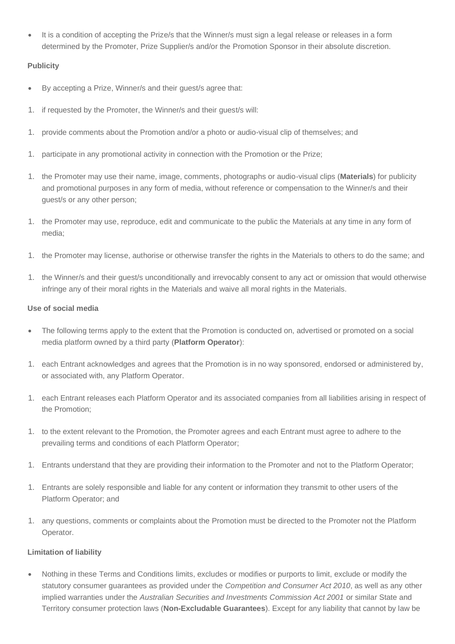• It is a condition of accepting the Prize/s that the Winner/s must sign a legal release or releases in a form determined by the Promoter, Prize Supplier/s and/or the Promotion Sponsor in their absolute discretion.

## **Publicity**

- By accepting a Prize, Winner/s and their guest/s agree that:
- 1. if requested by the Promoter, the Winner/s and their guest/s will:
- 1. provide comments about the Promotion and/or a photo or audio-visual clip of themselves; and
- 1. participate in any promotional activity in connection with the Promotion or the Prize;
- 1. the Promoter may use their name, image, comments, photographs or audio-visual clips (**Materials**) for publicity and promotional purposes in any form of media, without reference or compensation to the Winner/s and their guest/s or any other person;
- 1. the Promoter may use, reproduce, edit and communicate to the public the Materials at any time in any form of media;
- 1. the Promoter may license, authorise or otherwise transfer the rights in the Materials to others to do the same; and
- 1. the Winner/s and their guest/s unconditionally and irrevocably consent to any act or omission that would otherwise infringe any of their moral rights in the Materials and waive all moral rights in the Materials.

### **Use of social media**

- The following terms apply to the extent that the Promotion is conducted on, advertised or promoted on a social media platform owned by a third party (**Platform Operator**):
- 1. each Entrant acknowledges and agrees that the Promotion is in no way sponsored, endorsed or administered by, or associated with, any Platform Operator.
- 1. each Entrant releases each Platform Operator and its associated companies from all liabilities arising in respect of the Promotion;
- 1. to the extent relevant to the Promotion, the Promoter agrees and each Entrant must agree to adhere to the prevailing terms and conditions of each Platform Operator;
- 1. Entrants understand that they are providing their information to the Promoter and not to the Platform Operator;
- 1. Entrants are solely responsible and liable for any content or information they transmit to other users of the Platform Operator; and
- 1. any questions, comments or complaints about the Promotion must be directed to the Promoter not the Platform Operator.

### **Limitation of liability**

• Nothing in these Terms and Conditions limits, excludes or modifies or purports to limit, exclude or modify the statutory consumer guarantees as provided under the *Competition and Consumer Act 2010*, as well as any other implied warranties under the *Australian Securities and Investments Commission Act 2001* or similar State and Territory consumer protection laws (**Non-Excludable Guarantees**). Except for any liability that cannot by law be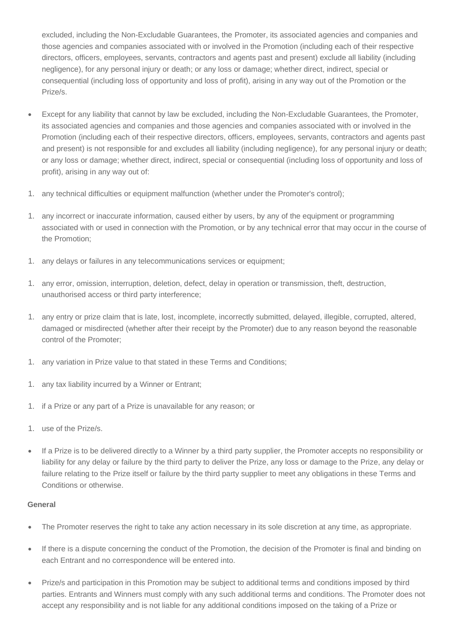excluded, including the Non-Excludable Guarantees, the Promoter, its associated agencies and companies and those agencies and companies associated with or involved in the Promotion (including each of their respective directors, officers, employees, servants, contractors and agents past and present) exclude all liability (including negligence), for any personal injury or death; or any loss or damage; whether direct, indirect, special or consequential (including loss of opportunity and loss of profit), arising in any way out of the Promotion or the Prize/s.

- Except for any liability that cannot by law be excluded, including the Non-Excludable Guarantees, the Promoter, its associated agencies and companies and those agencies and companies associated with or involved in the Promotion (including each of their respective directors, officers, employees, servants, contractors and agents past and present) is not responsible for and excludes all liability (including negligence), for any personal injury or death; or any loss or damage; whether direct, indirect, special or consequential (including loss of opportunity and loss of profit), arising in any way out of:
- 1. any technical difficulties or equipment malfunction (whether under the Promoter's control);
- 1. any incorrect or inaccurate information, caused either by users, by any of the equipment or programming associated with or used in connection with the Promotion, or by any technical error that may occur in the course of the Promotion;
- 1. any delays or failures in any telecommunications services or equipment;
- 1. any error, omission, interruption, deletion, defect, delay in operation or transmission, theft, destruction, unauthorised access or third party interference;
- 1. any entry or prize claim that is late, lost, incomplete, incorrectly submitted, delayed, illegible, corrupted, altered, damaged or misdirected (whether after their receipt by the Promoter) due to any reason beyond the reasonable control of the Promoter;
- 1. any variation in Prize value to that stated in these Terms and Conditions;
- 1. any tax liability incurred by a Winner or Entrant;
- 1. if a Prize or any part of a Prize is unavailable for any reason; or
- 1. use of the Prize/s.
- If a Prize is to be delivered directly to a Winner by a third party supplier, the Promoter accepts no responsibility or liability for any delay or failure by the third party to deliver the Prize, any loss or damage to the Prize, any delay or failure relating to the Prize itself or failure by the third party supplier to meet any obligations in these Terms and Conditions or otherwise.

#### **General**

- The Promoter reserves the right to take any action necessary in its sole discretion at any time, as appropriate.
- If there is a dispute concerning the conduct of the Promotion, the decision of the Promoter is final and binding on each Entrant and no correspondence will be entered into.
- Prize/s and participation in this Promotion may be subject to additional terms and conditions imposed by third parties. Entrants and Winners must comply with any such additional terms and conditions. The Promoter does not accept any responsibility and is not liable for any additional conditions imposed on the taking of a Prize or